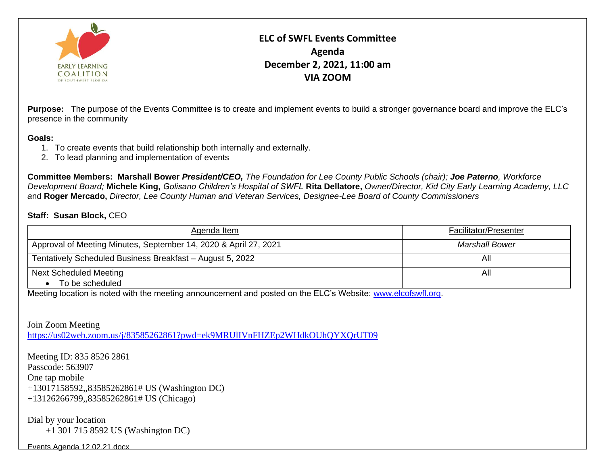

**ELC of SWFL Events Committee Agenda December 2, 2021, 11:00 am VIA ZOOM**

**Purpose:** The purpose of the Events Committee is to create and implement events to build a stronger governance board and improve the ELC's presence in the community

## **Goals:**

- 1. To create events that build relationship both internally and externally.
- 2. To lead planning and implementation of events

**Committee Members: Marshall Bower** *President/CEO, The Foundation for Lee County Public Schools (chair); Joe Paterno, Workforce Development Board;* **Michele King,** *Golisano Children's Hospital of SWFL* **Rita Dellatore,** *Owner/Director, Kid City Early Learning Academy, LLC a*nd **Roger Mercado,** *Director, Lee County Human and Veteran Services, Designee-Lee Board of County Commissioners*

## **Staff: Susan Block,** CEO

| Agenda Item                                                      | Facilitator/Presenter |
|------------------------------------------------------------------|-----------------------|
| Approval of Meeting Minutes, September 14, 2020 & April 27, 2021 | <b>Marshall Bower</b> |
| Tentatively Scheduled Business Breakfast - August 5, 2022        | All                   |
| <b>Next Scheduled Meeting</b>                                    | All                   |
| To be scheduled                                                  |                       |

Meeting location is noted with the meeting announcement and posted on the ELC's Website: [www.elcofswfl.org.](http://www.elcofswfl.org/)

Join Zoom Meeting <https://us02web.zoom.us/j/83585262861?pwd=ek9MRUlIVnFHZEp2WHdkOUhQYXQrUT09>

Meeting ID: 835 8526 2861 Passcode: 563907 One tap mobile +13017158592,,83585262861# US (Washington DC) +13126266799,,83585262861# US (Chicago)

Dial by your location +1 301 715 8592 US (Washington DC)

[Events Agenda 12.02.21.docx](Events%20Agenda%2012.02.21.docx)